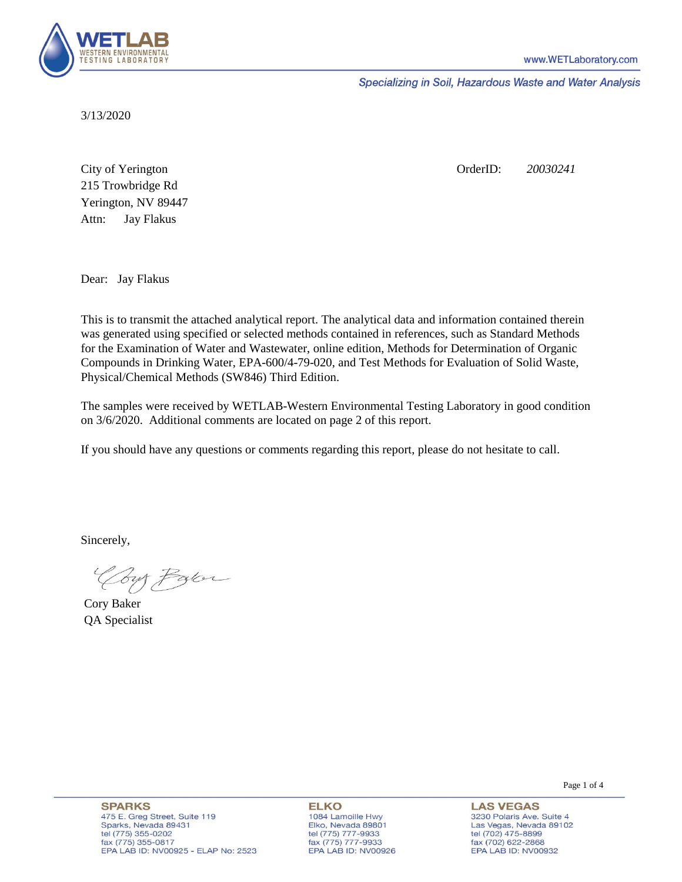

Specializing in Soil, Hazardous Waste and Water Analysis

3/13/2020

Attn: City of Yerington 215 Trowbridge Rd Jay Flakus Yerington, NV 89447 OrderID: *20030241*

Dear: Jay Flakus

This is to transmit the attached analytical report. The analytical data and information contained therein was generated using specified or selected methods contained in references, such as Standard Methods for the Examination of Water and Wastewater, online edition, Methods for Determination of Organic Compounds in Drinking Water, EPA-600/4-79-020, and Test Methods for Evaluation of Solid Waste, Physical/Chemical Methods (SW846) Third Edition.

The samples were received by WETLAB-Western Environmental Testing Laboratory in good condition on 3/6/2020. Additional comments are located on page 2 of this report.

If you should have any questions or comments regarding this report, please do not hesitate to call.

Sincerely,

Your Parce

Cory Baker QA Specialist

**SPARKS** 475 E. Greg Street, Suite 119 Sparks, Nevada 89431 tel (775) 355-0202 fax (775) 355-0817 EPA LAB ID: NV00925 - ELAP No: 2523

**ELKO** 1084 Lamoille Hwy Elko, Nevada 89801 tel (775) 777-9933<br>fax (775) 777-9933 EPA LAB ID: NV00926

**LAS VEGAS** 3230 Polaris Ave. Suite 4 Las Vegas, Nevada 89102 tel (702) 475-8899 fax (702) 622-2868 EPA LAB ID: NV00932

Page 1 of 4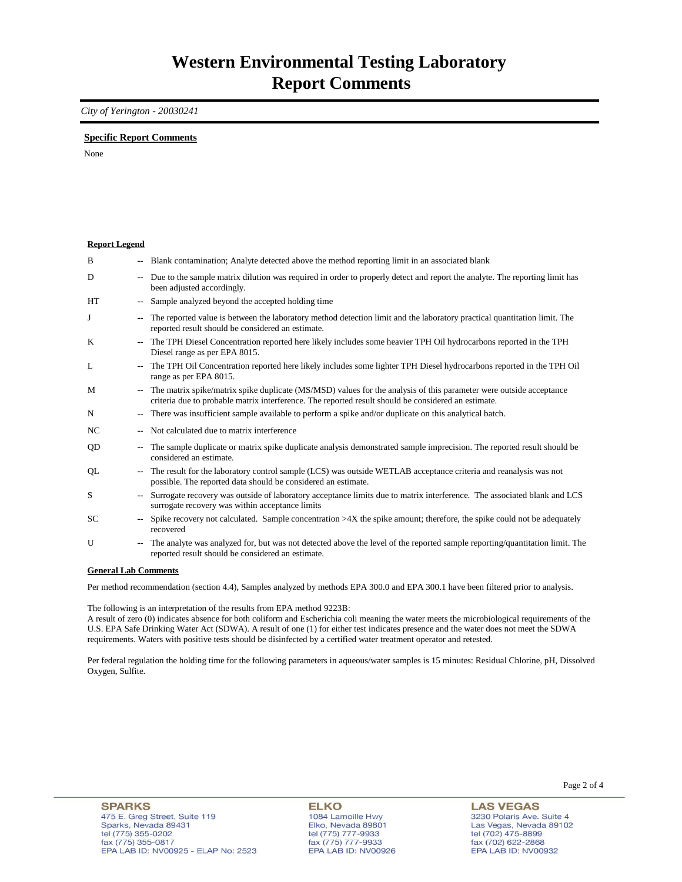## *City of Yerington - 20030241*

## **Specific Report Comments**

None

| <b>Report Legend</b> |    |                                                                                                                                                                                                                              |
|----------------------|----|------------------------------------------------------------------------------------------------------------------------------------------------------------------------------------------------------------------------------|
| B                    |    | -- Blank contamination; Analyte detected above the method reporting limit in an associated blank                                                                                                                             |
| D                    | ۰. | Due to the sample matrix dilution was required in order to properly detect and report the analyte. The reporting limit has<br>been adjusted accordingly.                                                                     |
| <b>HT</b>            |    | Sample analyzed beyond the accepted holding time                                                                                                                                                                             |
| J                    | -- | The reported value is between the laboratory method detection limit and the laboratory practical quantitation limit. The<br>reported result should be considered an estimate.                                                |
| K                    |    | The TPH Diesel Concentration reported here likely includes some heavier TPH Oil hydrocarbons reported in the TPH<br>Diesel range as per EPA 8015.                                                                            |
| L                    |    | The TPH Oil Concentration reported here likely includes some lighter TPH Diesel hydrocarbons reported in the TPH Oil<br>range as per EPA 8015.                                                                               |
| M                    |    | -- The matrix spike/matrix spike duplicate (MS/MSD) values for the analysis of this parameter were outside acceptance<br>criteria due to probable matrix interference. The reported result should be considered an estimate. |
| N                    | ۰. | There was insufficient sample available to perform a spike and/or duplicate on this analytical batch.                                                                                                                        |
| NC.                  |    | Not calculated due to matrix interference                                                                                                                                                                                    |
| QD                   | ۰. | The sample duplicate or matrix spike duplicate analysis demonstrated sample imprecision. The reported result should be<br>considered an estimate.                                                                            |
| QL                   |    | The result for the laboratory control sample (LCS) was outside WETLAB acceptance criteria and reanalysis was not<br>possible. The reported data should be considered an estimate.                                            |
| S                    |    | Surrogate recovery was outside of laboratory acceptance limits due to matrix interference. The associated blank and LCS<br>surrogate recovery was within acceptance limits                                                   |
| SC.                  |    | Spike recovery not calculated. Sample concentration $>4X$ the spike amount; therefore, the spike could not be adequately<br>recovered                                                                                        |
| U                    | ۰. | The analyte was analyzed for, but was not detected above the level of the reported sample reporting/quantitation limit. The<br>reported result should be considered an estimate.                                             |
| Conoral Lah Commonte |    |                                                                                                                                                                                                                              |

**General Lab Comments**

Per method recommendation (section 4.4), Samples analyzed by methods EPA 300.0 and EPA 300.1 have been filtered prior to analysis.

The following is an interpretation of the results from EPA method 9223B:

A result of zero (0) indicates absence for both coliform and Escherichia coli meaning the water meets the microbiological requirements of the U.S. EPA Safe Drinking Water Act (SDWA). A result of one (1) for either test indicates presence and the water does not meet the SDWA requirements. Waters with positive tests should be disinfected by a certified water treatment operator and retested.

Per federal regulation the holding time for the following parameters in aqueous/water samples is 15 minutes: Residual Chlorine, pH, Dissolved Oxygen, Sulfite.

**LAS VEGAS** 3230 Polaris Ave. Suite 4 Las Vegas, Nevada 89102 tel (702) 475-8899 fax (702) 47 3-8899<br>fax (702) 622-2868<br>EPA LAB ID: NV00932

Page 2 of 4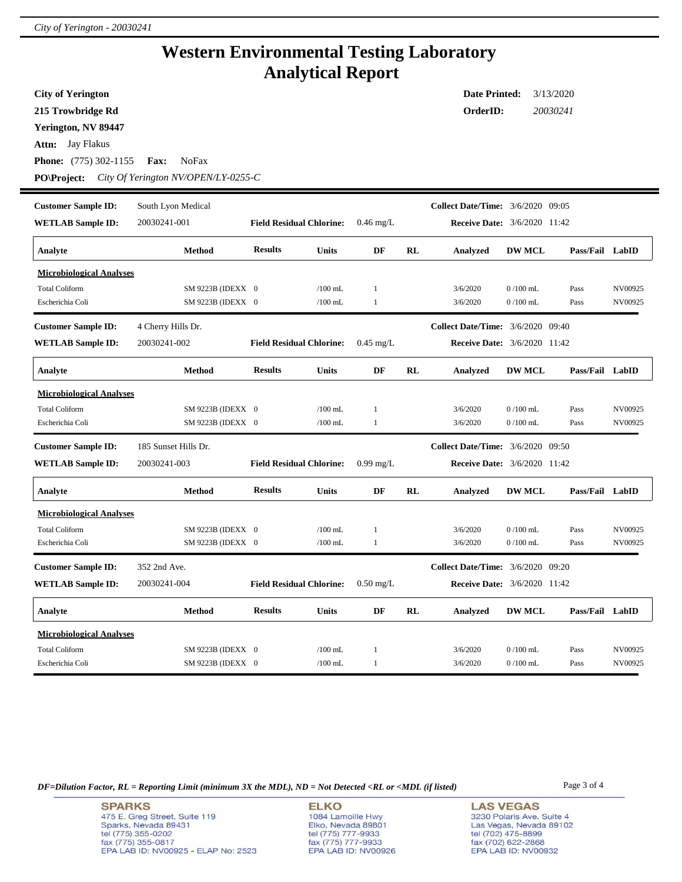۰

## **Western Environmental Testing Laboratory Analytical Report**

| <b>City of Yerington</b>        |                                     |                                 |           |              |           | <b>Date Printed:</b>                     |               | 3/13/2020       |         |
|---------------------------------|-------------------------------------|---------------------------------|-----------|--------------|-----------|------------------------------------------|---------------|-----------------|---------|
| 215 Trowbridge Rd               |                                     |                                 |           |              |           | OrderID:                                 |               | 20030241        |         |
| Yerington, NV 89447             |                                     |                                 |           |              |           |                                          |               |                 |         |
| <b>Attn:</b> Jay Flakus         |                                     |                                 |           |              |           |                                          |               |                 |         |
| <b>Phone:</b> (775) 302-1155    | <b>NoFax</b><br><b>Fax:</b>         |                                 |           |              |           |                                          |               |                 |         |
| <b>PO</b> \Project:             | City Of Yerington NV/OPEN/LY-0255-C |                                 |           |              |           |                                          |               |                 |         |
|                                 |                                     |                                 |           |              |           |                                          |               |                 |         |
| <b>Customer Sample ID:</b>      | South Lyon Medical                  |                                 |           |              |           | <b>Collect Date/Time:</b> 3/6/2020 09:05 |               |                 |         |
| <b>WETLAB Sample ID:</b>        | 20030241-001                        | <b>Field Residual Chlorine:</b> |           | $0.46$ mg/L  |           | <b>Receive Date:</b> 3/6/2020 11:42      |               |                 |         |
| Analyte                         | <b>Method</b>                       | <b>Results</b><br><b>Units</b>  |           | DF           | <b>RL</b> | <b>Analyzed</b>                          | <b>DW MCL</b> | Pass/Fail LabID |         |
| <b>Microbiological Analyses</b> |                                     |                                 |           |              |           |                                          |               |                 |         |
| <b>Total Coliform</b>           | SM 9223B (IDEXX 0                   |                                 | /100 mL   | -1           |           | 3/6/2020                                 | $0/100$ mL    | Pass            | NV00925 |
| Escherichia Coli                | SM 9223B (IDEXX 0                   |                                 | $/100$ mL | $\mathbf{1}$ |           | 3/6/2020                                 | $0/100$ mL    | Pass            | NV00925 |
| <b>Customer Sample ID:</b>      | 4 Cherry Hills Dr.                  |                                 |           |              |           | <b>Collect Date/Time:</b> 3/6/2020 09:40 |               |                 |         |
| <b>WETLAB Sample ID:</b>        | 20030241-002                        | <b>Field Residual Chlorine:</b> |           | $0.45$ mg/L  |           | <b>Receive Date:</b> 3/6/2020 11:42      |               |                 |         |
| Analyte                         | Method                              | <b>Results</b><br>Units         |           | DF           | RL        | Analyzed                                 | <b>DW MCL</b> | Pass/Fail LabID |         |
| <b>Microbiological Analyses</b> |                                     |                                 |           |              |           |                                          |               |                 |         |
| <b>Total Coliform</b>           | SM 9223B (IDEXX 0                   |                                 | $/100$ mL | $\mathbf{1}$ |           | 3/6/2020                                 | $0/100$ mL    | Pass            | NV00925 |
| Escherichia Coli                | SM 9223B (IDEXX 0                   |                                 | $/100$ mL | $\mathbf{1}$ |           | 3/6/2020                                 | $0/100$ mL    | Pass            | NV00925 |
| <b>Customer Sample ID:</b>      | 185 Sunset Hills Dr.                |                                 |           |              |           | <b>Collect Date/Time:</b> 3/6/2020 09:50 |               |                 |         |
| <b>WETLAB Sample ID:</b>        | 20030241-003                        | <b>Field Residual Chlorine:</b> |           | $0.99$ mg/L  |           | <b>Receive Date:</b> 3/6/2020 11:42      |               |                 |         |
| Analyte                         | Method                              | <b>Results</b><br><b>Units</b>  |           | DF           | <b>RL</b> | Analyzed                                 | <b>DW MCL</b> | Pass/Fail LabID |         |
| <b>Microbiological Analyses</b> |                                     |                                 |           |              |           |                                          |               |                 |         |
| <b>Total Coliform</b>           | SM 9223B (IDEXX 0                   |                                 | $/100$ mL | $\mathbf{1}$ |           | 3/6/2020                                 | $0/100$ mL    | Pass            | NV00925 |
| Escherichia Coli                | SM 9223B (IDEXX 0                   |                                 | $/100$ mL | 1            |           | 3/6/2020                                 | $0/100$ mL    | Pass            | NV00925 |
| <b>Customer Sample ID:</b>      | 352 2nd Ave.                        |                                 |           |              |           | <b>Collect Date/Time:</b> 3/6/2020 09:20 |               |                 |         |
| <b>WETLAB Sample ID:</b>        | 20030241-004                        | <b>Field Residual Chlorine:</b> |           | $0.50$ mg/L  |           | <b>Receive Date:</b> 3/6/2020 11:42      |               |                 |         |
| Analyte                         | <b>Method</b>                       | <b>Results</b><br>Units         |           | DF           | RL        | Analyzed                                 | <b>DW MCL</b> | Pass/Fail LabID |         |
| <b>Microbiological Analyses</b> |                                     |                                 |           |              |           |                                          |               |                 |         |
| <b>Total Coliform</b>           | SM 9223B (IDEXX 0                   |                                 | $/100$ mL | 1            |           | 3/6/2020                                 | $0/100$ mL    | Pass            | NV00925 |
| Escherichia Coli                | SM 9223B (IDEXX 0                   |                                 | $/100$ mL | -1           |           | 3/6/2020                                 | $0/100$ mL    | Pass            | NV00925 |

*DF=Dilution Factor, RL = Reporting Limit (minimum 3X the MDL), ND = Not Detected <RL or <MDL (if listed)* Page 3 of 4

**SPARKS** 475 E. Greg Street, Suite 119 Sparks, Nevada 89431<br>tel (775) 355-0202<br>fax (775) 355-0817 EPA LAB ID: NV00925 - ELAP No: 2523

**ELKO** 1084 Lamoille Hwy Polyton, Nevada 89801<br>tel (775) 777-9933<br>fax (775) 777-9933<br>EPA LAB ID: NV00926

**LAS VEGAS** 3230 Polaris Ave. Suite 4 Las Vegas, Nevada 89102<br>tel (702) 475-8899<br>fax (702) 622-2868<br>EPA LAB ID: NV00932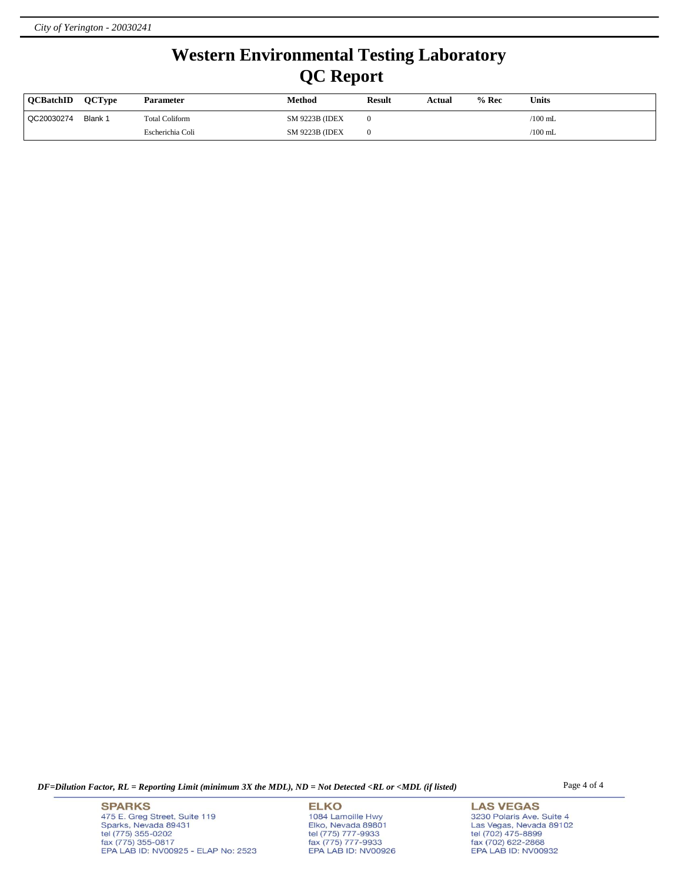## **Western Environmental Testing Laboratory QC Report**

| <b>OCBatchID</b> | <b>OCTvpe</b> | <b>Parameter</b>      | Method                 | <b>Result</b> | Actual | % Rec | Units     |
|------------------|---------------|-----------------------|------------------------|---------------|--------|-------|-----------|
| QC20030274       | Blank 1       | <b>Total Coliform</b> | <b>SM 9223B (IDEX)</b> |               |        |       | $/100$ mL |
|                  |               | Escherichia Coli      | <b>SM 9223B (IDEX)</b> |               |        |       | $/100$ mL |

*DF=Dilution Factor, RL = Reporting Limit (minimum 3X the MDL), ND = Not Detected <RL or <MDL (if listed)* Page 4 of 4

**SPARKS** 475 E. Greg Street, Suite 119 Sparks, Nevada 89431<br>tel (775) 355-0202<br>fax (775) 355-0817 EPA LAB ID: NV00925 - ELAP No: 2523

**ELKO** 1084 Lamoille Hwy Polyton, Nevada 89801<br>tel (775) 777-9933<br>fax (775) 777-9933<br>EPA LAB ID: NV00926

**LAS VEGAS** 3230 Polaris Ave. Suite 4 Las Vegas, Nevada 89102<br>tel (702) 475-8899<br>fax (702) 622-2868<br>EPA LAB ID: NV00932